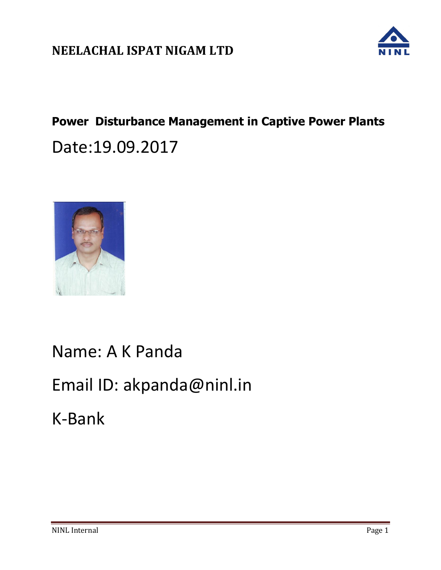

# **Power Disturbance Management in Captive Power Plants**  Date:19.09.2017



Name: A K Panda

# Email ID: akpanda@ninl.in

K-Bank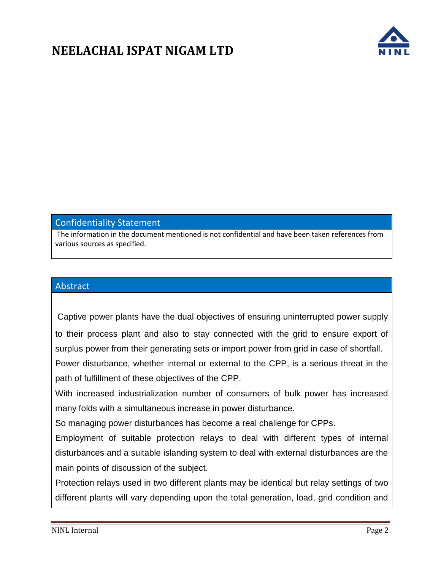

#### Confidentiality Statement

The information in the document mentioned is not confidential and have been taken references from various sources as specified.

#### Abstract

Captive power plants have the dual objectives of ensuring uninterrupted power supply to their process plant and also to stay connected with the grid to ensure export of surplus power from their generating sets or import power from grid in case of shortfall.

Power disturbance, whether internal or external to the CPP, is a serious threat in the path of fulfillment of these objectives of the CPP.

With increased industrialization number of consumers of bulk power has increased many folds with a simultaneous increase in power disturbance.

So managing power disturbances has become a real challenge for CPPs.

Employment of suitable protection relays to deal with different types of internal disturbances and a suitable islanding system to deal with external disturbances are the main points of discussion of the subject.

Protection relays used in two different plants may be identical but relay settings of two different plants will vary depending upon the total generation, load, grid condition and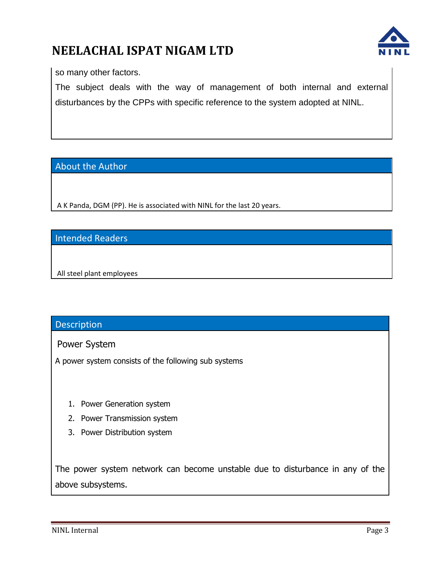

so many other factors.

The subject deals with the way of management of both internal and external disturbances by the CPPs with specific reference to the system adopted at NINL.

#### About the Author

A K Panda, DGM (PP). He is associated with NINL for the last 20 years.

#### Intended Readers

All steel plant employees

#### Description

Power System

A power system consists of the following sub systems

- 1. Power Generation system
- 2. Power Transmission system
- 3. Power Distribution system

The power system network can become unstable due to disturbance in any of the above subsystems.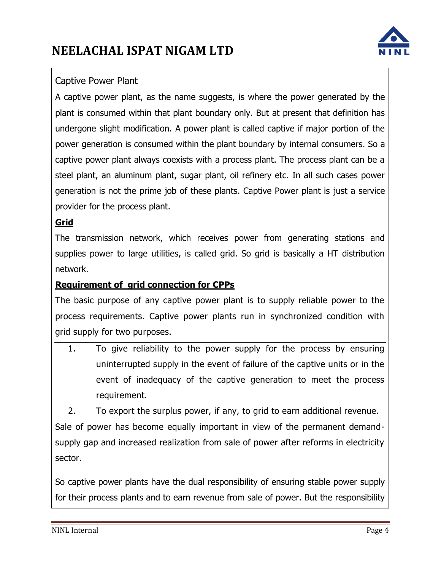

### Captive Power Plant

A captive power plant, as the name suggests, is where the power generated by the plant is consumed within that plant boundary only. But at present that definition has undergone slight modification. A power plant is called captive if major portion of the power generation is consumed within the plant boundary by internal consumers. So a captive power plant always coexists with a process plant. The process plant can be a steel plant, an aluminum plant, sugar plant, oil refinery etc. In all such cases power generation is not the prime job of these plants. Captive Power plant is just a service provider for the process plant.

#### **Grid**

The transmission network, which receives power from generating stations and supplies power to large utilities, is called grid. So grid is basically a HT distribution network.

#### **Requirement of grid connection for CPPs**

The basic purpose of any captive power plant is to supply reliable power to the process requirements. Captive power plants run in synchronized condition with grid supply for two purposes.

1. To give reliability to the power supply for the process by ensuring uninterrupted supply in the event of failure of the captive units or in the event of inadequacy of the captive generation to meet the process requirement.

2. To export the surplus power, if any, to grid to earn additional revenue. Sale of power has become equally important in view of the permanent demandsupply gap and increased realization from sale of power after reforms in electricity sector.

So captive power plants have the dual responsibility of ensuring stable power supply for their process plants and to earn revenue from sale of power. But the responsibility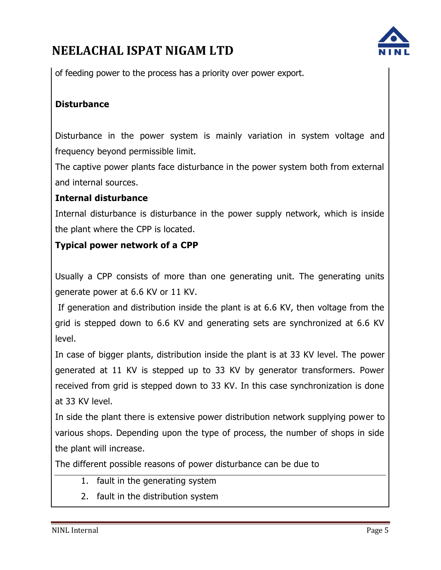

of feeding power to the process has a priority over power export.

### **Disturbance**

Disturbance in the power system is mainly variation in system voltage and frequency beyond permissible limit.

The captive power plants face disturbance in the power system both from external and internal sources.

### **Internal disturbance**

Internal disturbance is disturbance in the power supply network, which is inside the plant where the CPP is located.

### **Typical power network of a CPP**

Usually a CPP consists of more than one generating unit. The generating units generate power at 6.6 KV or 11 KV.

If generation and distribution inside the plant is at 6.6 KV, then voltage from the grid is stepped down to 6.6 KV and generating sets are synchronized at 6.6 KV level.

In case of bigger plants, distribution inside the plant is at 33 KV level. The power generated at 11 KV is stepped up to 33 KV by generator transformers. Power received from grid is stepped down to 33 KV. In this case synchronization is done at 33 KV level.

In side the plant there is extensive power distribution network supplying power to various shops. Depending upon the type of process, the number of shops in side the plant will increase.

The different possible reasons of power disturbance can be due to

- 1. fault in the generating system
- 2. fault in the distribution system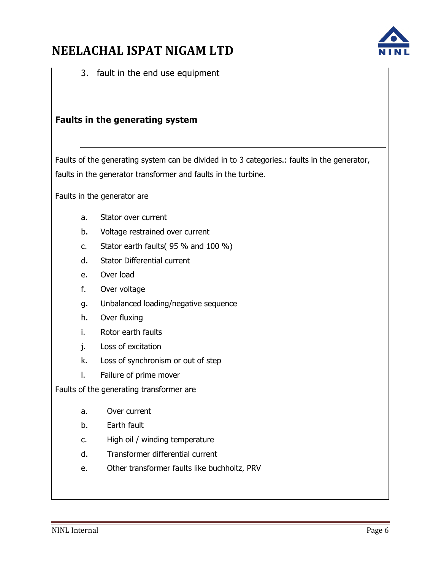3. fault in the end use equipment

#### **Faults in the generating system**

Faults of the generating system can be divided in to 3 categories.: faults in the generator, faults in the generator transformer and faults in the turbine.

Faults in the generator are

- a. Stator over current
- b. Voltage restrained over current
- c. Stator earth faults( 95 % and 100 %)
- d. Stator Differential current
- e. Over load
- f. Over voltage
- g. Unbalanced loading/negative sequence
- h. Over fluxing
- i. Rotor earth faults
- j. Loss of excitation
- k. Loss of synchronism or out of step
- l. Failure of prime mover

Faults of the generating transformer are

- a. Over current
- b. Earth fault
- c. High oil / winding temperature
- d. Transformer differential current
- e. Other transformer faults like buchholtz, PRV

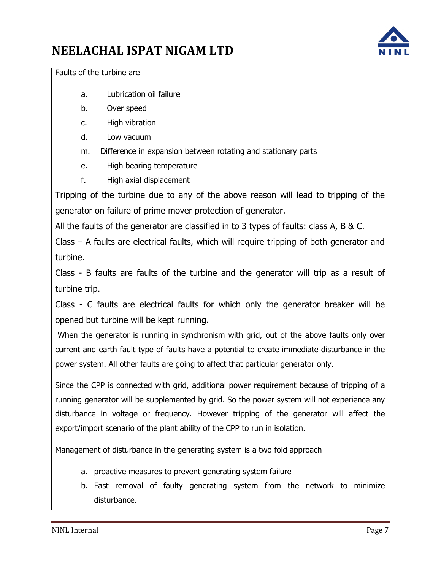

Faults of the turbine are

- a. Lubrication oil failure
- b. Over speed
- c. High vibration
- d. Low vacuum
- m. Difference in expansion between rotating and stationary parts
- e. High bearing temperature
- f. High axial displacement

Tripping of the turbine due to any of the above reason will lead to tripping of the generator on failure of prime mover protection of generator.

All the faults of the generator are classified in to 3 types of faults: class A, B & C.

Class – A faults are electrical faults, which will require tripping of both generator and turbine.

Class - B faults are faults of the turbine and the generator will trip as a result of turbine trip.

Class - C faults are electrical faults for which only the generator breaker will be opened but turbine will be kept running.

When the generator is running in synchronism with grid, out of the above faults only over current and earth fault type of faults have a potential to create immediate disturbance in the power system. All other faults are going to affect that particular generator only.

Since the CPP is connected with grid, additional power requirement because of tripping of a running generator will be supplemented by grid. So the power system will not experience any disturbance in voltage or frequency. However tripping of the generator will affect the export/import scenario of the plant ability of the CPP to run in isolation.

Management of disturbance in the generating system is a two fold approach

- a. proactive measures to prevent generating system failure
- b. Fast removal of faulty generating system from the network to minimize disturbance.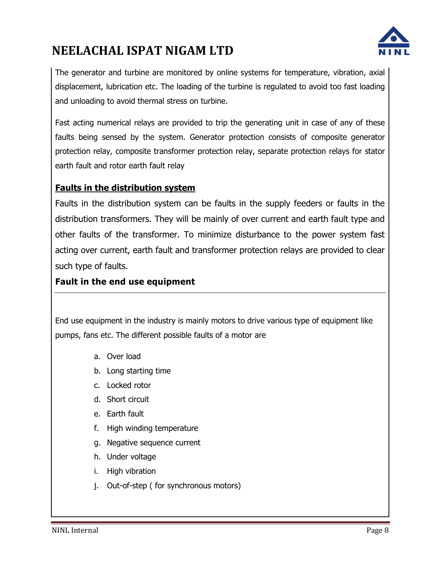

The generator and turbine are monitored by online systems for temperature, vibration, axial displacement, lubrication etc. The loading of the turbine is regulated to avoid too fast loading and unloading to avoid thermal stress on turbine.

Fast acting numerical relays are provided to trip the generating unit in case of any of these faults being sensed by the system. Generator protection consists of composite generator protection relay, composite transformer protection relay, separate protection relays for stator earth fault and rotor earth fault relay

#### **Faults in the distribution system**

Faults in the distribution system can be faults in the supply feeders or faults in the distribution transformers. They will be mainly of over current and earth fault type and other faults of the transformer. To minimize disturbance to the power system fast acting over current, earth fault and transformer protection relays are provided to clear such type of faults.

#### **Fault in the end use equipment**

End use equipment in the industry is mainly motors to drive various type of equipment like pumps, fans etc. The different possible faults of a motor are

- a. Over load
- b. Long starting time
- c. Locked rotor
- d. Short circuit
- e. Earth fault
- f. High winding temperature
- g. Negative sequence current
- h. Under voltage
- i. High vibration
- j. Out-of-step ( for synchronous motors)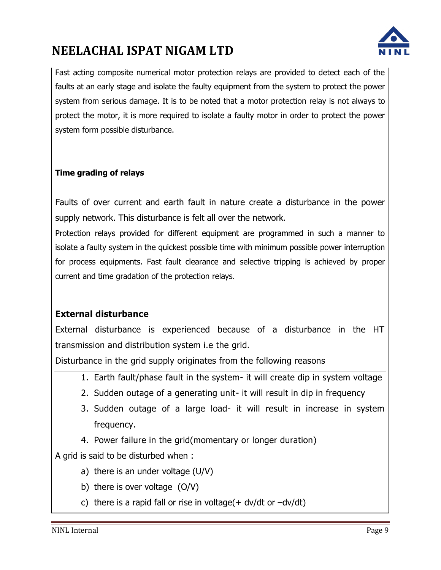

Fast acting composite numerical motor protection relays are provided to detect each of the faults at an early stage and isolate the faulty equipment from the system to protect the power system from serious damage. It is to be noted that a motor protection relay is not always to protect the motor, it is more required to isolate a faulty motor in order to protect the power system form possible disturbance.

#### **Time grading of relays**

Faults of over current and earth fault in nature create a disturbance in the power supply network. This disturbance is felt all over the network.

Protection relays provided for different equipment are programmed in such a manner to isolate a faulty system in the quickest possible time with minimum possible power interruption for process equipments. Fast fault clearance and selective tripping is achieved by proper current and time gradation of the protection relays.

#### **External disturbance**

External disturbance is experienced because of a disturbance in the HT transmission and distribution system i.e the grid.

Disturbance in the grid supply originates from the following reasons

- 1. Earth fault/phase fault in the system- it will create dip in system voltage
- 2. Sudden outage of a generating unit- it will result in dip in frequency
- 3. Sudden outage of a large load- it will result in increase in system frequency.
- 4. Power failure in the grid(momentary or longer duration)

A grid is said to be disturbed when :

- a) there is an under voltage (U/V)
- b) there is over voltage (O/V)
- c) there is a rapid fall or rise in voltage( $+$  dv/dt or  $-dv/dt$ )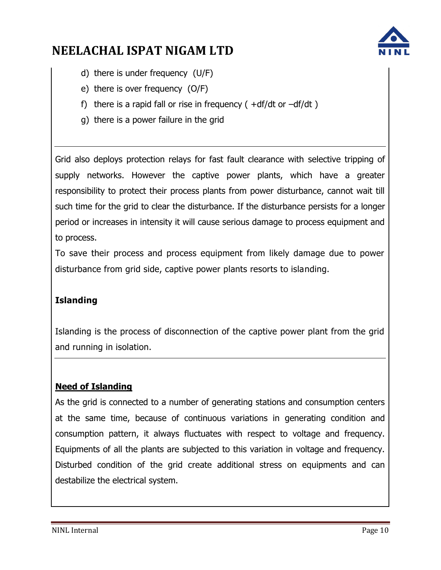

- d) there is under frequency (U/F)
- e) there is over frequency (O/F)
- f) there is a rapid fall or rise in frequency  $( +df/dt)$  or  $-df/dt$ )
- g) there is a power failure in the grid

Grid also deploys protection relays for fast fault clearance with selective tripping of supply networks. However the captive power plants, which have a greater responsibility to protect their process plants from power disturbance, cannot wait till such time for the grid to clear the disturbance. If the disturbance persists for a longer period or increases in intensity it will cause serious damage to process equipment and to process.

To save their process and process equipment from likely damage due to power disturbance from grid side, captive power plants resorts to islanding.

### **Islanding**

Islanding is the process of disconnection of the captive power plant from the grid and running in isolation.

### **Need of Islanding**

As the grid is connected to a number of generating stations and consumption centers at the same time, because of continuous variations in generating condition and consumption pattern, it always fluctuates with respect to voltage and frequency. Equipments of all the plants are subjected to this variation in voltage and frequency. Disturbed condition of the grid create additional stress on equipments and can destabilize the electrical system.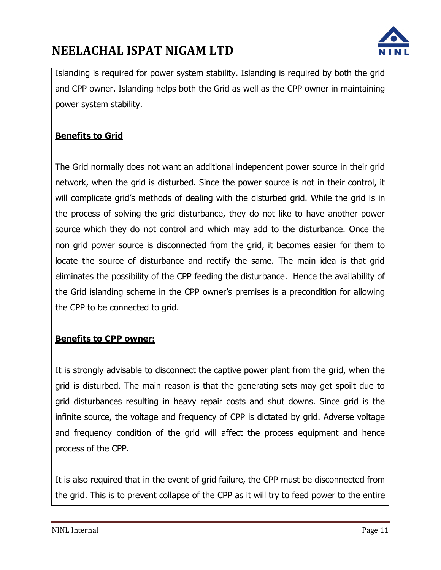

Islanding is required for power system stability. Islanding is required by both the grid and CPP owner. Islanding helps both the Grid as well as the CPP owner in maintaining power system stability.

### **Benefits to Grid**

The Grid normally does not want an additional independent power source in their grid network, when the grid is disturbed. Since the power source is not in their control, it will complicate grid's methods of dealing with the disturbed grid. While the grid is in the process of solving the grid disturbance, they do not like to have another power source which they do not control and which may add to the disturbance. Once the non grid power source is disconnected from the grid, it becomes easier for them to locate the source of disturbance and rectify the same. The main idea is that grid eliminates the possibility of the CPP feeding the disturbance. Hence the availability of the Grid islanding scheme in the CPP owner's premises is a precondition for allowing the CPP to be connected to grid.

### **Benefits to CPP owner:**

It is strongly advisable to disconnect the captive power plant from the grid, when the grid is disturbed. The main reason is that the generating sets may get spoilt due to grid disturbances resulting in heavy repair costs and shut downs. Since grid is the infinite source, the voltage and frequency of CPP is dictated by grid. Adverse voltage and frequency condition of the grid will affect the process equipment and hence process of the CPP.

It is also required that in the event of grid failure, the CPP must be disconnected from the grid. This is to prevent collapse of the CPP as it will try to feed power to the entire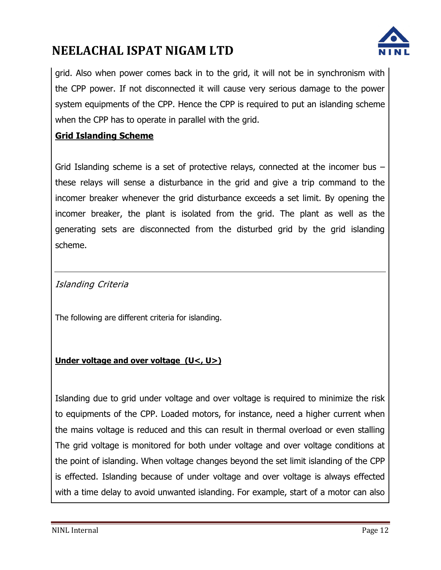

grid. Also when power comes back in to the grid, it will not be in synchronism with the CPP power. If not disconnected it will cause very serious damage to the power system equipments of the CPP. Hence the CPP is required to put an islanding scheme when the CPP has to operate in parallel with the grid.

### **Grid Islanding Scheme**

Grid Islanding scheme is a set of protective relays, connected at the incomer bus – these relays will sense a disturbance in the grid and give a trip command to the incomer breaker whenever the grid disturbance exceeds a set limit. By opening the incomer breaker, the plant is isolated from the grid. The plant as well as the generating sets are disconnected from the disturbed grid by the grid islanding scheme.

Islanding Criteria

The following are different criteria for islanding.

#### **Under voltage and over voltage (U<, U>)**

Islanding due to grid under voltage and over voltage is required to minimize the risk to equipments of the CPP. Loaded motors, for instance, need a higher current when the mains voltage is reduced and this can result in thermal overload or even stalling The grid voltage is monitored for both under voltage and over voltage conditions at the point of islanding. When voltage changes beyond the set limit islanding of the CPP is effected. Islanding because of under voltage and over voltage is always effected with a time delay to avoid unwanted islanding. For example, start of a motor can also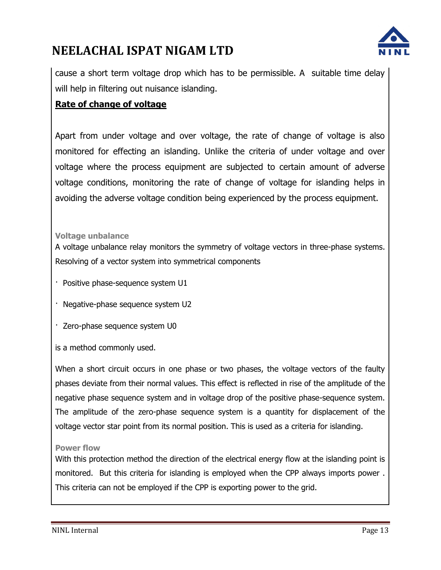

cause a short term voltage drop which has to be permissible. A suitable time delay will help in filtering out nuisance islanding.

### **Rate of change of voltage**

Apart from under voltage and over voltage, the rate of change of voltage is also monitored for effecting an islanding. Unlike the criteria of under voltage and over voltage where the process equipment are subjected to certain amount of adverse voltage conditions, monitoring the rate of change of voltage for islanding helps in avoiding the adverse voltage condition being experienced by the process equipment.

#### **Voltage unbalance**

A voltage unbalance relay monitors the symmetry of voltage vectors in three-phase systems. Resolving of a vector system into symmetrical components

- · Positive phase-sequence system U1
- · Negative-phase sequence system U2
- · Zero-phase sequence system U0
- is a method commonly used.

When a short circuit occurs in one phase or two phases, the voltage vectors of the faulty phases deviate from their normal values. This effect is reflected in rise of the amplitude of the negative phase sequence system and in voltage drop of the positive phase-sequence system. The amplitude of the zero-phase sequence system is a quantity for displacement of the voltage vector star point from its normal position. This is used as a criteria for islanding.

#### **Power flow**

With this protection method the direction of the electrical energy flow at the islanding point is monitored. But this criteria for islanding is employed when the CPP always imports power . This criteria can not be employed if the CPP is exporting power to the grid.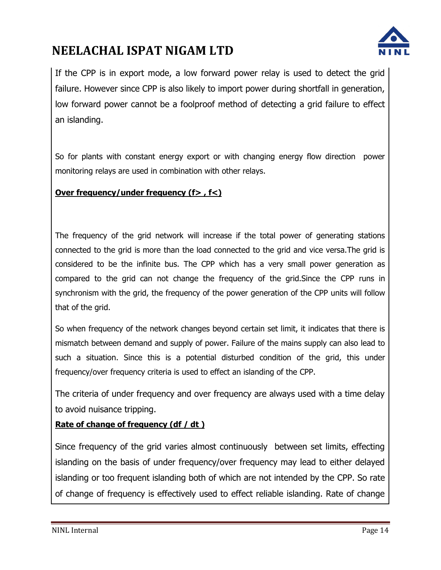

If the CPP is in export mode, a low forward power relay is used to detect the grid failure. However since CPP is also likely to import power during shortfall in generation, low forward power cannot be a foolproof method of detecting a grid failure to effect an islanding.

So for plants with constant energy export or with changing energy flow direction power monitoring relays are used in combination with other relays.

### **Over frequency/under frequency (f> , f<)**

The frequency of the grid network will increase if the total power of generating stations connected to the grid is more than the load connected to the grid and vice versa.The grid is considered to be the infinite bus. The CPP which has a very small power generation as compared to the grid can not change the frequency of the grid.Since the CPP runs in synchronism with the grid, the frequency of the power generation of the CPP units will follow that of the grid.

So when frequency of the network changes beyond certain set limit, it indicates that there is mismatch between demand and supply of power. Failure of the mains supply can also lead to such a situation. Since this is a potential disturbed condition of the grid, this under frequency/over frequency criteria is used to effect an islanding of the CPP.

The criteria of under frequency and over frequency are always used with a time delay to avoid nuisance tripping.

### **Rate of change of frequency (df / dt )**

Since frequency of the grid varies almost continuously between set limits, effecting islanding on the basis of under frequency/over frequency may lead to either delayed islanding or too frequent islanding both of which are not intended by the CPP. So rate of change of frequency is effectively used to effect reliable islanding. Rate of change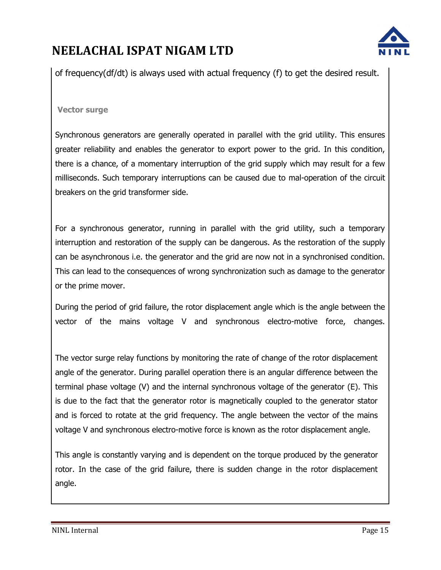

of frequency(df/dt) is always used with actual frequency (f) to get the desired result.

#### **Vector surge**

Synchronous generators are generally operated in parallel with the grid utility. This ensures greater reliability and enables the generator to export power to the grid. In this condition, there is a chance, of a momentary interruption of the grid supply which may result for a few milliseconds. Such temporary interruptions can be caused due to mal-operation of the circuit breakers on the grid transformer side.

For a synchronous generator, running in parallel with the grid utility, such a temporary interruption and restoration of the supply can be dangerous. As the restoration of the supply can be asynchronous i.e. the generator and the grid are now not in a synchronised condition. This can lead to the consequences of wrong synchronization such as damage to the generator or the prime mover.

During the period of grid failure, the rotor displacement angle which is the angle between the vector of the mains voltage V and synchronous electro-motive force, changes.

The vector surge relay functions by monitoring the rate of change of the rotor displacement angle of the generator. During parallel operation there is an angular difference between the terminal phase voltage (V) and the internal synchronous voltage of the generator (E). This is due to the fact that the generator rotor is magnetically coupled to the generator stator and is forced to rotate at the grid frequency. The angle between the vector of the mains voltage V and synchronous electro-motive force is known as the rotor displacement angle.

This angle is constantly varying and is dependent on the torque produced by the generator rotor. In the case of the grid failure, there is sudden change in the rotor displacement angle.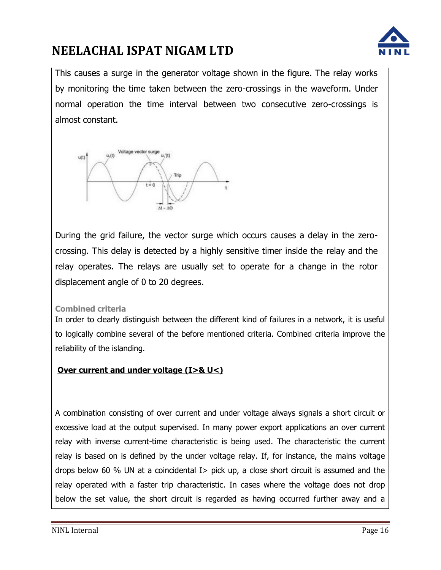

This causes a surge in the generator voltage shown in the figure. The relay works by monitoring the time taken between the zero-crossings in the waveform. Under normal operation the time interval between two consecutive zero-crossings is almost constant.



During the grid failure, the vector surge which occurs causes a delay in the zerocrossing. This delay is detected by a highly sensitive timer inside the relay and the relay operates. The relays are usually set to operate for a change in the rotor displacement angle of 0 to 20 degrees.

#### **Combined criteria**

In order to clearly distinguish between the different kind of failures in a network, it is useful to logically combine several of the before mentioned criteria. Combined criteria improve the reliability of the islanding.

#### **Over current and under voltage (I>& U<)**

A combination consisting of over current and under voltage always signals a short circuit or excessive load at the output supervised. In many power export applications an over current relay with inverse current-time characteristic is being used. The characteristic the current relay is based on is defined by the under voltage relay. If, for instance, the mains voltage drops below 60 % UN at a coincidental I> pick up, a close short circuit is assumed and the relay operated with a faster trip characteristic. In cases where the voltage does not drop below the set value, the short circuit is regarded as having occurred further away and a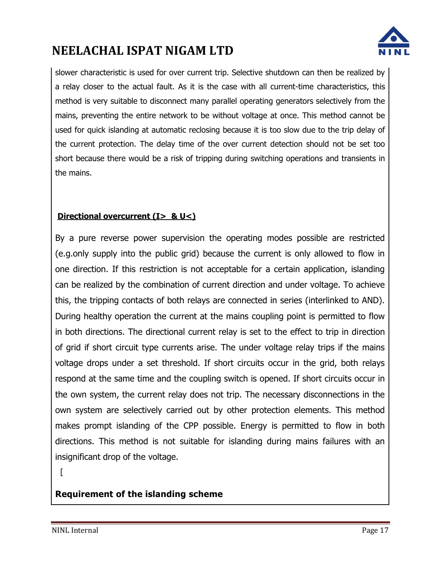

slower characteristic is used for over current trip. Selective shutdown can then be realized by a relay closer to the actual fault. As it is the case with all current-time characteristics, this method is very suitable to disconnect many parallel operating generators selectively from the mains, preventing the entire network to be without voltage at once. This method cannot be used for quick islanding at automatic reclosing because it is too slow due to the trip delay of the current protection. The delay time of the over current detection should not be set too short because there would be a risk of tripping during switching operations and transients in the mains.

### **Directional overcurrent (I> & U<)**

By a pure reverse power supervision the operating modes possible are restricted (e.g.only supply into the public grid) because the current is only allowed to flow in one direction. If this restriction is not acceptable for a certain application, islanding can be realized by the combination of current direction and under voltage. To achieve this, the tripping contacts of both relays are connected in series (interlinked to AND). During healthy operation the current at the mains coupling point is permitted to flow in both directions. The directional current relay is set to the effect to trip in direction of grid if short circuit type currents arise. The under voltage relay trips if the mains voltage drops under a set threshold. If short circuits occur in the grid, both relays respond at the same time and the coupling switch is opened. If short circuits occur in the own system, the current relay does not trip. The necessary disconnections in the own system are selectively carried out by other protection elements. This method makes prompt islanding of the CPP possible. Energy is permitted to flow in both directions. This method is not suitable for islanding during mains failures with an insignificant drop of the voltage.

 $\lceil$ 

### **Requirement of the islanding scheme**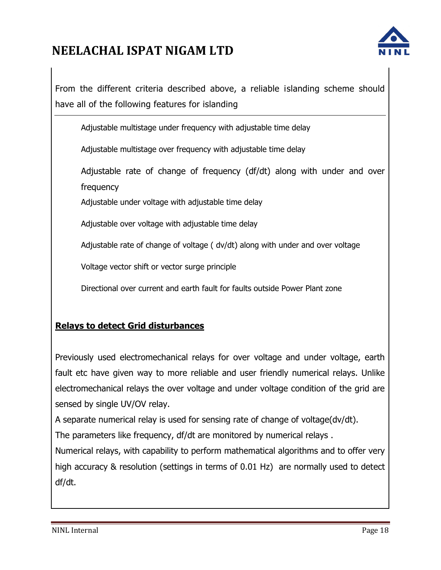

From the different criteria described above, a reliable islanding scheme should have all of the following features for islanding

Adjustable multistage under frequency with adjustable time delay

Adjustable multistage over frequency with adjustable time delay

Adjustable rate of change of frequency (df/dt) along with under and over frequency

Adjustable under voltage with adjustable time delay

Adjustable over voltage with adjustable time delay

Adjustable rate of change of voltage ( dv/dt) along with under and over voltage

Voltage vector shift or vector surge principle

Directional over current and earth fault for faults outside Power Plant zone

### **Relays to detect Grid disturbances**

Previously used electromechanical relays for over voltage and under voltage, earth fault etc have given way to more reliable and user friendly numerical relays. Unlike electromechanical relays the over voltage and under voltage condition of the grid are sensed by single UV/OV relay.

A separate numerical relay is used for sensing rate of change of voltage(dv/dt).

The parameters like frequency, df/dt are monitored by numerical relays .

Numerical relays, with capability to perform mathematical algorithms and to offer very high accuracy & resolution (settings in terms of 0.01 Hz) are normally used to detect df/dt.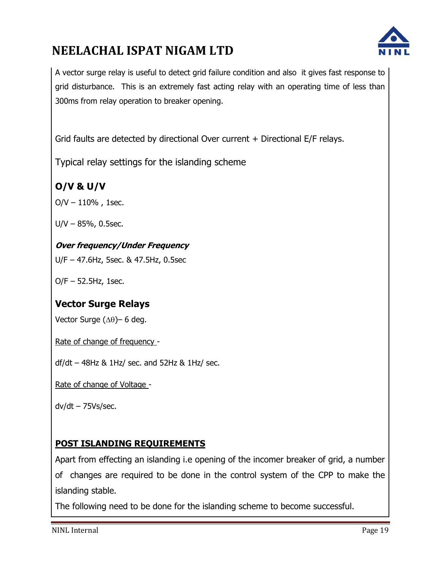

A vector surge relay is useful to detect grid failure condition and also it gives fast response to grid disturbance. This is an extremely fast acting relay with an operating time of less than 300ms from relay operation to breaker opening.

Grid faults are detected by directional Over current + Directional E/F relays.

Typical relay settings for the islanding scheme

### **O/V & U/V**

 $O/V - 110%$ , 1sec.

U/V – 85%, 0.5sec.

### **Over frequency/Under Frequency**

U/F – 47.6Hz, 5sec. & 47.5Hz, 0.5sec

O/F – 52.5Hz, 1sec.

### **Vector Surge Relays**

Vector Surge  $(\Delta\theta)$ – 6 deg.

Rate of change of frequency -

 $df/dt - 48$ Hz & 1Hz/ sec. and 52Hz & 1Hz/ sec.

Rate of change of Voltage -

 $dv/dt - 75Vs/sec.$ 

### **POST ISLANDING REQUIREMENTS**

Apart from effecting an islanding i.e opening of the incomer breaker of grid, a number of changes are required to be done in the control system of the CPP to make the islanding stable.

The following need to be done for the islanding scheme to become successful.